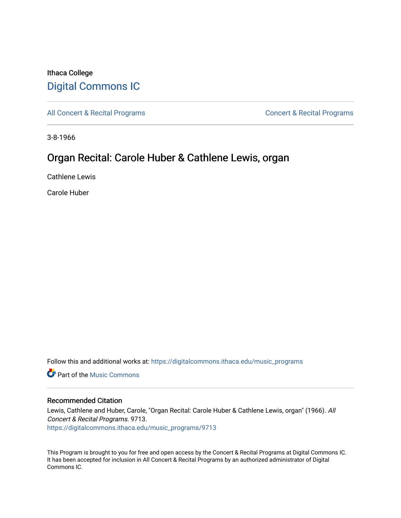# Ithaca College [Digital Commons IC](https://digitalcommons.ithaca.edu/)

[All Concert & Recital Programs](https://digitalcommons.ithaca.edu/music_programs) **Concert & Recital Programs** Concert & Recital Programs

3-8-1966

# Organ Recital: Carole Huber & Cathlene Lewis, organ

Cathlene Lewis

Carole Huber

Follow this and additional works at: [https://digitalcommons.ithaca.edu/music\\_programs](https://digitalcommons.ithaca.edu/music_programs?utm_source=digitalcommons.ithaca.edu%2Fmusic_programs%2F9713&utm_medium=PDF&utm_campaign=PDFCoverPages) 

**Part of the Music Commons** 

## Recommended Citation

Lewis, Cathlene and Huber, Carole, "Organ Recital: Carole Huber & Cathlene Lewis, organ" (1966). All Concert & Recital Programs. 9713.

[https://digitalcommons.ithaca.edu/music\\_programs/9713](https://digitalcommons.ithaca.edu/music_programs/9713?utm_source=digitalcommons.ithaca.edu%2Fmusic_programs%2F9713&utm_medium=PDF&utm_campaign=PDFCoverPages) 

This Program is brought to you for free and open access by the Concert & Recital Programs at Digital Commons IC. It has been accepted for inclusion in All Concert & Recital Programs by an authorized administrator of Digital Commons IC.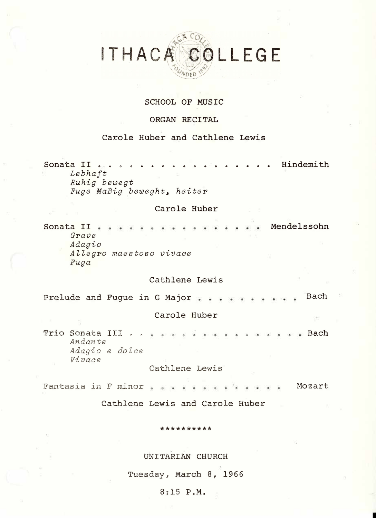# COLLEGE ITHACA

## **SCHOOL OF MUSIC**

#### **ORGAN RECITAL**

#### **Carole Huber and Cathlene Lewis**

**Sonata II ..... ............ Hindemith**  *Lebhaft Ruhig bewegt Fuge MaBig beweght, heiter* 

#### **Carole Huber**

**Sonata II**  *Grave Adagio Allegro maestoso vivace Fuga*  **Mendelssohn** 

## Cathlene Lewis

Prelude and Fugue in G Major . . . Bach

#### Carole Huber

Trio Sonata III . . *Andante Adagio e do lee Vivace*  a a Bach

#### Cathlene Lewis

Fantasia in F minor . . . Mozart 

Cathlene Lewis and Carole Huber

#### \*\*\*\*\*\*\*\*\*\*

#### UNITARIAN CHURCH

Tuesday, March 8, 1966

#### 8:15 P.M.